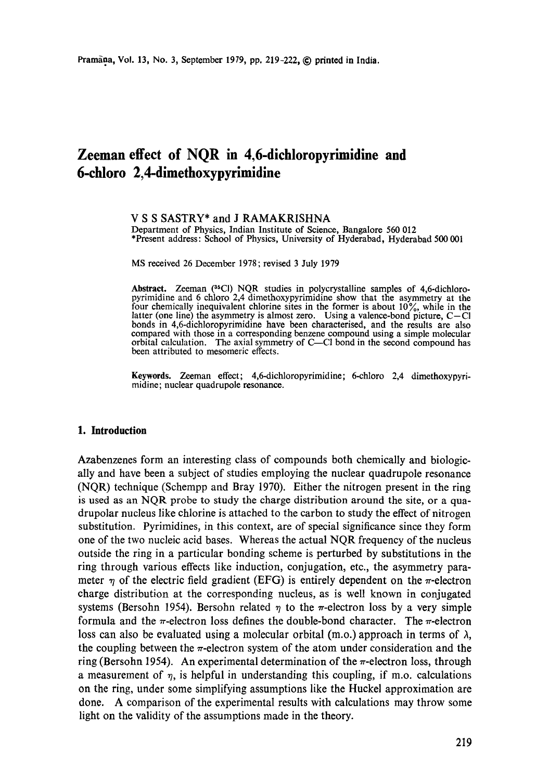# **Zeeman effect of NQR in 4,6-dichloropyrimidine and 6-chloro 2,4-dimethoxypyrimidine**

#### **V S S** SASTRY\* and J RAMAKRISHNA Department of Physics, Indian Institute of Science, Bangalore 560 012 \*Present address: School of Physics, University of Hyderabad, Hyderabad 500 001

MS received 26 December 1978; revised 3 July 1979

Abstract. Zeeman (35CI) NQR studies in polycrystalline samples of 4,6-dichloropyrimidine and 6 chloro 2,4 dimethoxypyrimidine show that the asymmetry at the four chemically inequivalent chlorine sites in the former is about  $10\%$ , while in the latter (one line) the asymmetry is almost zero. Using a valence-bond picture,  $C-Cl$ bonds in 4,6-dichloropyrimidine have been characterised, and the results are also compared with those in a corresponding benzene compound using a simple molecular orbital calculation. The axial symmetry of  $C$ — $C$ l bond in the second compound has been attributed to mesomeric effects.

**Keywords.** Zeeman effect; 4,6-dichloropyrimidine; 6-chloro 2,4 dimethoxypyrimidine; nuclear quadrupole resonance.

## **1. Introduction**

Azabenzenes form an interesting class of compounds both chemically and biologically and have been a subject of studies employing the nuclear quadrupole resonance (NQR) technique (Schempp and Bray 1970). Either the nitrogen present in the ring is used as an NQR probe to study the charge distribution around the site, or a quadrupolar nucleus like chlorine is attached to the carbon to study the effect of nitrogen substitution. Pyrimidines, in this context, are of special significance since they form one of the two nucleic acid bases. Whereas the actual NQR frequency of the nucleus outside the ring in a particular bonding scheme is perturbed by substitutions in the ring through various effects like induction, conjugation, etc., the asymmetry parameter  $\eta$  of the electric field gradient (EFG) is entirely dependent on the  $\pi$ -electron charge distribution at the corresponding nucleus, as is well known in conjugated systems (Bersohn 1954). Bersohn related  $\eta$  to the  $\pi$ -electron loss by a very simple formula and the  $\pi$ -electron loss defines the double-bond character. The  $\pi$ -electron loss can also be evaluated using a molecular orbital (m.o.) approach in terms of  $\lambda$ , the coupling between the  $\pi$ -electron system of the atom under consideration and the ring (Bersohn 1954). An experimental determination of the  $\pi$ -electron loss, through a measurement of  $\eta$ , is helpful in understanding this coupling, if m.o. calculations on the ring, under some simplifying assumptions like the Huckel approximation are done. A comparison of the experimental results with calculations may throw some light on the validity of the assumptions made in the theory.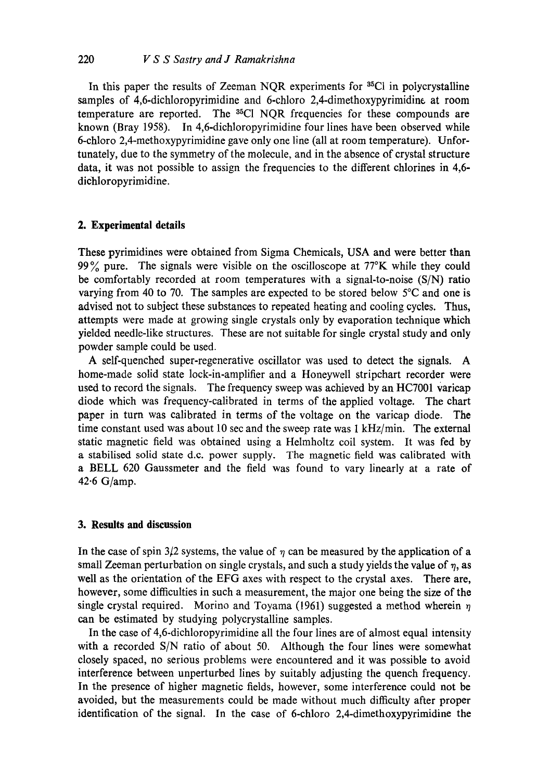In this paper the results of Zeeman NQR experiments for <sup>35</sup>Cl in polycrystalline samples of 4,6-dichloropyrimidine and 6-chloro 2,4-dimethoxypyrimidine at room temperature are reported. The <sup>35</sup>Cl NOR frequencies for these compounds are known (Bray 1958). In 4,6-dichloropyrimidine four lines have been observed while 6-chloro 2,4-methoxypyrimidine gave only one line (all at room temperature). Unfortunately, due to the symmetry of the molecule, and in the absence of crystal structure data, it was not possible to assign the frequencies to the different chlorines in 4,6 diehloropyrimidine.

# **2. Experimental details**

These pyrimidines were obtained from Sigma Chemicals, USA and were better than 99% pure. The signals were visible on the oscilloscope at  $77^\circ$ K while they could be comfortably recorded at room temperatures with a signal-to-noise (S/N) ratio varying from 40 to 70. The samples are expected to be stored below 5°C and one is advised not to subject these substances to repeated heating and cooling cycles. Thus, attempts were made at growing single crystals only by evaporation technique which yielded needle-like structures. These are not suitable for single crystal study and only powder sample could be used.

A self-quenched super-regenerative oscillator was used to detect the signals. A home-made solid state lock-in-amplifier and a Honeywell stripchart recorder were used to record the signals. The frequency sweep was achieved by an HC7001 varicap diode which was frequency-calibrated in terms of the applied voltage. The chart paper in turn was calibrated in terms of the voltage on the varicap diode. The time constant used was about 10 sec and the sweep rate was 1 kHz/min. The external static magnetic field was obtained using a Helmholtz coil system. It was fed by a stabilised solid state d.c. power supply. The magnetic field was calibrated with a BELL 620 Gaussmeter and the field was found to vary linearly at a rate of 42.6 G/amp.

# **3. Results and discussion**

In the case of spin  $3/2$  systems, the value of  $\eta$  can be measured by the application of a small Zeeman perturbation on single crystals, and such a study yields the value of  $\eta$ , as well as the orientation of the EFG axes with respect to the crystal axes. There are, however, some difficulties in such a measurement, the major one being the size of the single crystal required. Morino and Toyama (1961) suggested a method wherein  $\eta$ can be estimated by studying polycrystalline samples.

In the case of 4,6-dichloropyrimidine all the four lines are of almost equal intensity with a recorded S/N ratio of about 50. Although the four lines were somewhat closely spaced, no serious problems were encountered and it was possible to avoid interference between unperturbed lines by suitably adjusting the quench frequency. In the presence of higher magnetic fields, however, some interference could not be avoided, but the measurements could be made without much difficulty after proper identification of the signal. In the case of 6-chloro 2,4-dimethoxypyrimidine the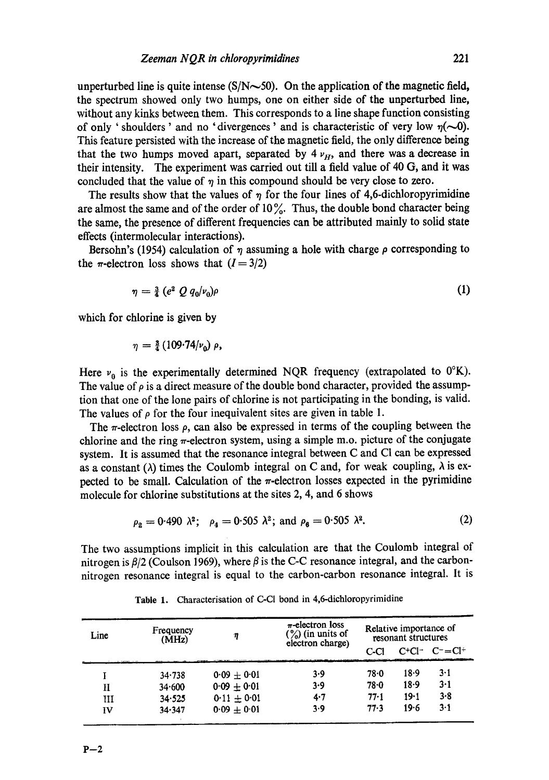unperturbed line is quite intense  $(S/N \sim 50)$ . On the application of the magnetic field, the spectrum showed only two humps, one on either side of the unperturbed line, without any kinks between them. This corresponds to a line shape function consisting of only 'shoulders' and no 'divergences' and is characteristic of very low  $\eta(\sim 0)$ . This feature persisted with the increase of the magnetic field, the only difference being that the two humps moved apart, separated by  $4 \nu_{H}$ , and there was a decrease in their intensity. The experiment was carried out till a field value of 40 G, and it was concluded that the value of  $\eta$  in this compound should be very close to zero.

The results show that the values of  $\eta$  for the four lines of 4,6-dichloropyrimidine are almost the same and of the order of  $10\%$ . Thus, the double bond character being the same, the presence of different frequencies can be attributed mainly to solid state effects (intermolecular interactions).

Bersohn's (1954) calculation of  $\eta$  assuming a hole with charge  $\rho$  corresponding to the  $\pi$ -electron loss shows that  $(I = 3/2)$ 

$$
\eta = \frac{3}{4} \left( e^2 \ Q \ q_0 | \nu_0 \right) \rho \tag{1}
$$

which for chlorine is given by

$$
\eta = \frac{3}{4} (109.74/\nu_0) \rho,
$$

Here  $v_0$  is the experimentally determined NQR frequency (extrapolated to  $0^\circ K$ ). The value of  $\rho$  is a direct measure of the double bond character, provided the assumption that one of the lone pairs of chlorine is not participating in the bonding, is valid. The values of  $\rho$  for the four inequivalent sites are given in table 1.

The  $\pi$ -electron loss  $\rho$ , can also be expressed in terms of the coupling between the chlorine and the ring  $\pi$ -electron system, using a simple m.o. picture of the conjugate system. It is assumed that the resonance integral between C and C1 can be expressed as a constant ( $\lambda$ ) times the Coulomb integral on C and, for weak coupling,  $\lambda$  is expected to be small. Calculation of the  $\pi$ -electron losses expected in the pyrimidine molecule for chlorine substitutions at the sites 2, 4, and 6 shows

$$
\rho_2 = 0.490 \lambda^2
$$
;  $\rho_4 = 0.505 \lambda^2$ ; and  $\rho_6 = 0.505 \lambda^2$ . (2)

The two assumptions implicit in this calculation are that the Coulomb integral of nitrogen is  $\beta/2$  (Coulson 1969), where  $\beta$  is the C-C resonance integral, and the carbonnitrogen resonance integral is equal to the carbon-carbon resonance integral. It is

| Line | Frequency<br>(MHz) | η               | $\pi$ -electron loss<br>$\binom{6}{6}$ (in units of<br>electron charge) | Relative importance of<br>resonant structures |          |                     |
|------|--------------------|-----------------|-------------------------------------------------------------------------|-----------------------------------------------|----------|---------------------|
|      |                    |                 |                                                                         | C-Cl                                          |          | $C^+Cl^ C^- = Cl^+$ |
|      | $34 - 738$         | $0.09 + 0.01$   | 3.9                                                                     | $78 - 0$                                      | 18.9     | $3 - 1$             |
| п    | 34.600             | $0.09 + 0.01$   | 3.9                                                                     | $78 - 0$                                      | $18-9$   | 3-1                 |
| ш    | 34.525             | $0.11 \pm 0.01$ | 4.7                                                                     | $77 - 1$                                      | $19 - 1$ | 3.8                 |
| īV   | 34.347             | $0.09 + 0.01$   | 3.9                                                                     | 77.3                                          | 19.6     | $3 - 1$             |

Table 1. Characterisation of C-CI bond in 4,6-dichloropyrimidine